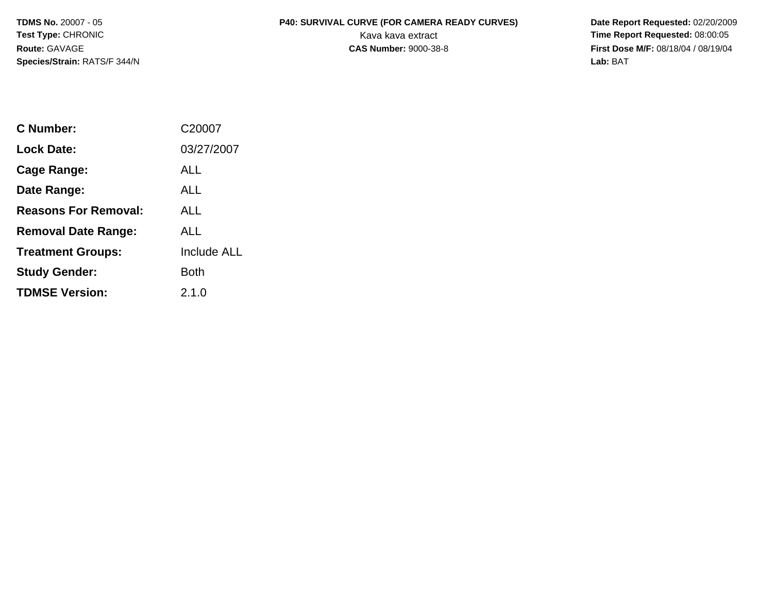**Species/Strain:** RATS/F 344/N **Lab:** BAT

## **TDMS No.** 20007 - 05 **P40: SURVIVAL CURVE (FOR CAMERA READY CURVES) Date Report Requested:** 02/20/2009 **Test Type: CHRONIC** CHRONIC CHRONIC CHRONIC CHARGE CHARGE CHARGE CHARGE CHARGE CHARGE CHARGE CHARGE CHARGE CHARGE CHARGE CHARGE CHARGE CHARGE CHARGE CHARGE CHARGE CHARGE CHARGE CHARGE CHARGE CHARGE CHARGE CHARGE CHARGE CH

**Route:** GAVAGE **CAS Number:** 9000-38-8 **First Dose M/F:** 08/18/04 / 08/19/04

| C Number:                   | C20007      |
|-----------------------------|-------------|
| <b>Lock Date:</b>           | 03/27/2007  |
| Cage Range:                 | ALL         |
| Date Range:                 | ALL         |
| <b>Reasons For Removal:</b> | ALL         |
| <b>Removal Date Range:</b>  | AI L        |
| <b>Treatment Groups:</b>    | Include ALL |
| <b>Study Gender:</b>        | Both        |
| <b>TDMSE Version:</b>       | 2.1.0       |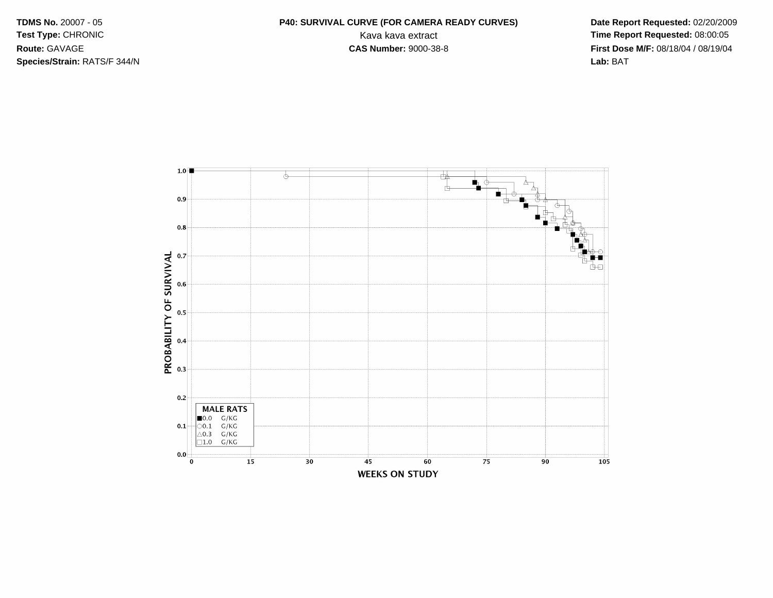**TDMS No. 20007 - 05** Test Type: CHRONIC Route: GAVAGE Species/Strain: RATS/F 344/N

## P40: SURVIVAL CURVE (FOR CAMERA READY CURVES) Kava kava extract **CAS Number: 9000-38-8**

Date Report Requested: 02/20/2009 Time Report Requested: 08:00:05 First Dose M/F: 08/18/04 / 08/19/04 Lab: BAT